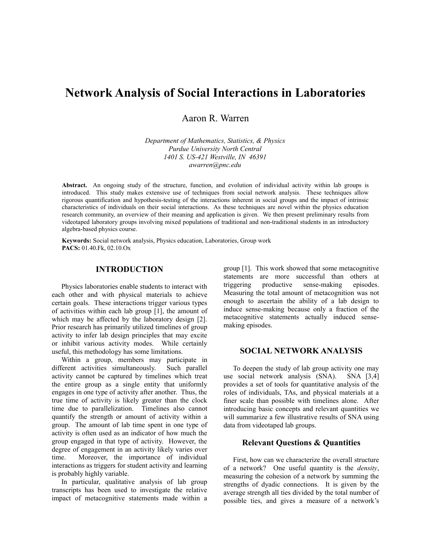# **Network Analysis of Social Interactions in Laboratories**

Aaron R. Warren

*Department of Mathematics, Statistics, & Physics Purdue University North Central 1401 S. US-421 Westville, IN 46391 awarren@pnc.edu*

**Abstract.** An ongoing study of the structure, function, and evolution of individual activity within lab groups is introduced. This study makes extensive use of techniques from social network analysis. These techniques allow rigorous quantification and hypothesis-testing of the interactions inherent in social groups and the impact of intrinsic characteristics of individuals on their social interactions. As these techniques are novel within the physics education research community, an overview of their meaning and application is given. We then present preliminary results from videotaped laboratory groups involving mixed populations of traditional and non-traditional students in an introductory algebra-based physics course.

**Keywords:** Social network analysis, Physics education, Laboratories, Group work **PACS:** 01.40.Fk, 02.10.Ox

## **INTRODUCTION**

Physics laboratories enable students to interact with each other and with physical materials to achieve certain goals. These interactions trigger various types of activities within each lab group [1], the amount of which may be affected by the laboratory design [2]. Prior research has primarily utilized timelines of group activity to infer lab design principles that may excite or inhibit various activity modes. While certainly useful, this methodology has some limitations.

Within a group, members may participate in different activities simultaneously. Such parallel activity cannot be captured by timelines which treat the entire group as a single entity that uniformly engages in one type of activity after another. Thus, the true time of activity is likely greater than the clock time due to parallelization. Timelines also cannot quantify the strength or amount of activity within a group. The amount of lab time spent in one type of activity is often used as an indicator of how much the group engaged in that type of activity. However, the degree of engagement in an activity likely varies over time. Moreover, the importance of individual interactions as triggers for student activity and learning is probably highly variable.

In particular, qualitative analysis of lab group transcripts has been used to investigate the relative impact of metacognitive statements made within a group [1]. This work showed that some metacognitive statements are more successful than others at triggering productive sense-making episodes. Measuring the total amount of metacognition was not enough to ascertain the ability of a lab design to induce sense-making because only a fraction of the metacognitive statements actually induced sensemaking episodes.

## **SOCIAL NETWORK ANALYSIS**

To deepen the study of lab group activity one may use social network analysis (SNA). SNA [3,4] provides a set of tools for quantitative analysis of the roles of individuals, TAs, and physical materials at a finer scale than possible with timelines alone. After introducing basic concepts and relevant quantities we will summarize a few illustrative results of SNA using data from videotaped lab groups.

#### **Relevant Questions & Quantities**

First, how can we characterize the overall structure of a network? One useful quantity is the *density*, measuring the cohesion of a network by summing the strengths of dyadic connections. It is given by the average strength all ties divided by the total number of possible ties, and gives a measure of a network's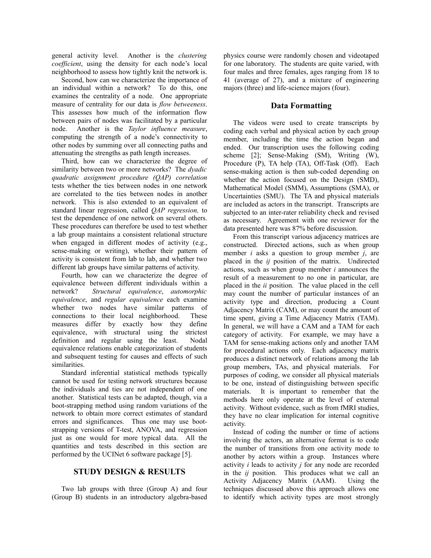general activity level. Another is the *clustering coefficient*, using the density for each node's local neighborhood to assess how tightly knit the network is.

Second, how can we characterize the importance of an individual within a network? To do this, one examines the centrality of a node. One appropriate measure of centrality for our data is *flow betweeness*. This assesses how much of the information flow between pairs of nodes was facilitated by a particular node. Another is the *Taylor influence measure*, computing the strength of a node's connectivity to other nodes by summing over all connecting paths and attenuating the strengths as path length increases.

Third, how can we characterize the degree of similarity between two or more networks? The *dyadic quadratic assignment procedure (QAP) correlation* tests whether the ties between nodes in one network are correlated to the ties between nodes in another network. This is also extended to an equivalent of standard linear regression, called *QAP regression,* to test the dependence of one network on several others. These procedures can therefore be used to test whether a lab group maintains a consistent relational structure when engaged in different modes of activity (e.g., sense-making or writing), whether their pattern of activity is consistent from lab to lab, and whether two different lab groups have similar patterns of activity.

Fourth, how can we characterize the degree of equivalence between different individuals within a network? *Structural equivalence*, *automorphic equivalence*, and *regular equivalence* each examine whether two nodes have similar patterns of connections to their local neighborhood. These measures differ by exactly how they define equivalence, with structural using the strictest definition and regular using the least. Nodal equivalence relations enable categorization of students and subsequent testing for causes and effects of such similarities.

Standard inferential statistical methods typically cannot be used for testing network structures because the individuals and ties are not independent of one another. Statistical tests can be adapted, though, via a boot-strapping method using random variations of the network to obtain more correct estimates of standard errors and significances. Thus one may use bootstrapping versions of T-test, ANOVA, and regression just as one would for more typical data. All the quantities and tests described in this section are performed by the UCINet 6 software package [5].

## **STUDY DESIGN & RESULTS**

Two lab groups with three (Group A) and four (Group B) students in an introductory algebra-based physics course were randomly chosen and videotaped for one laboratory. The students are quite varied, with four males and three females, ages ranging from 18 to 41 (average of 27), and a mixture of engineering majors (three) and life-science majors (four).

### **Data Formatting**

The videos were used to create transcripts by coding each verbal and physical action by each group member, including the time the action began and ended. Our transcription uses the following coding scheme [2]; Sense-Making (SM), Writing (W), Procedure (P), TA help (TA), Off-Task (Off). Each sense-making action is then sub-coded depending on whether the action focused on the Design (SMD), Mathematical Model (SMM), Assumptions (SMA), or Uncertainties (SMU). The TA and physical materials are included as actors in the transcript. Transcripts are subjected to an inter-rater reliability check and revised as necessary. Agreement with one reviewer for the data presented here was 87% before discussion.

From this transcript various adjacency matrices are constructed. Directed actions, such as when group member *i* asks a question to group member *j*, are placed in the *ij* position of the matrix. Undirected actions, such as when group member *i* announces the result of a measurement to no one in particular, are placed in the *ii* position. The value placed in the cell may count the number of particular instances of an activity type and direction, producing a Count Adjacency Matrix (CAM), or may count the amount of time spent, giving a Time Adjacency Matrix (TAM). In general, we will have a CAM and a TAM for each category of activity. For example, we may have a TAM for sense-making actions only and another TAM for procedural actions only. Each adjacency matrix produces a distinct network of relations among the lab group members, TAs, and physical materials. For purposes of coding, we consider all physical materials to be one, instead of distinguishing between specific materials. It is important to remember that the methods here only operate at the level of external activity. Without evidence, such as from fMRI studies, they have no clear implication for internal cognitive activity.

Instead of coding the number or time of actions involving the actors, an alternative format is to code the number of transitions from one activity mode to another by actors within a group. Instances where activity *i* leads to activity *j* for any node are recorded in the *ij* position. This produces what we call an Activity Adjacency Matrix (AAM). Using the techniques discussed above this approach allows one to identify which activity types are most strongly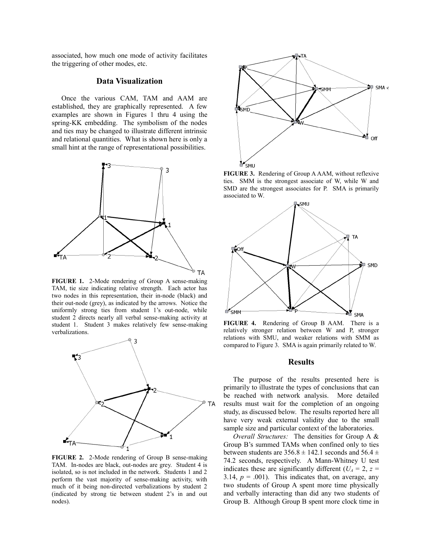associated, how much one mode of activity facilitates the triggering of other modes, etc.

## **Data Visualization**

Once the various CAM, TAM and AAM are established, they are graphically represented. A few examples are shown in Figures 1 thru 4 using the spring-KK embedding. The symbolism of the nodes and ties may be changed to illustrate different intrinsic and relational quantities. What is shown here is only a small hint at the range of representational possibilities.



**FIGURE 1.** 2-Mode rendering of Group A sense-making TAM, tie size indicating relative strength. Each actor has two nodes in this representation, their in-node (black) and their out-node (grey), as indicated by the arrows. Notice the uniformly strong ties from student 1's out-node, while student 2 directs nearly all verbal sense-making activity at student 1. Student 3 makes relatively few sense-making verbalizations.



**FIGURE 2.** 2-Mode rendering of Group B sense-making TAM. In-nodes are black, out-nodes are grey. Student 4 is isolated, so is not included in the network. Students 1 and 2 perform the vast majority of sense-making activity, with much of it being non-directed verbalizations by student 2 (indicated by strong tie between student 2's in and out nodes).



**FIGURE 3.** Rendering of Group A AAM, without reflexive ties. SMM is the strongest associate of W, while W and SMD are the strongest associates for P. SMA is primarily associated to W.



**FIGURE 4.** Rendering of Group B AAM. There is a relatively stronger relation between W and P, stronger relations with SMU, and weaker relations with SMM as compared to Figure 3. SMA is again primarily related to W.

## **Results**

The purpose of the results presented here is primarily to illustrate the types of conclusions that can be reached with network analysis. More detailed results must wait for the completion of an ongoing study, as discussed below. The results reported here all have very weak external validity due to the small sample size and particular context of the laboratories.

*Overall Structures:* The densities for Group A & Group B's summed TAMs when confined only to ties between students are  $356.8 \pm 142.1$  seconds and  $56.4 \pm$ 74.2 seconds, respectively. A Mann-Whitney U test indicates these are significantly different ( $U_A = 2$ ,  $z =$ 3.14,  $p = .001$ ). This indicates that, on average, any two students of Group A spent more time physically and verbally interacting than did any two students of Group B. Although Group B spent more clock time in